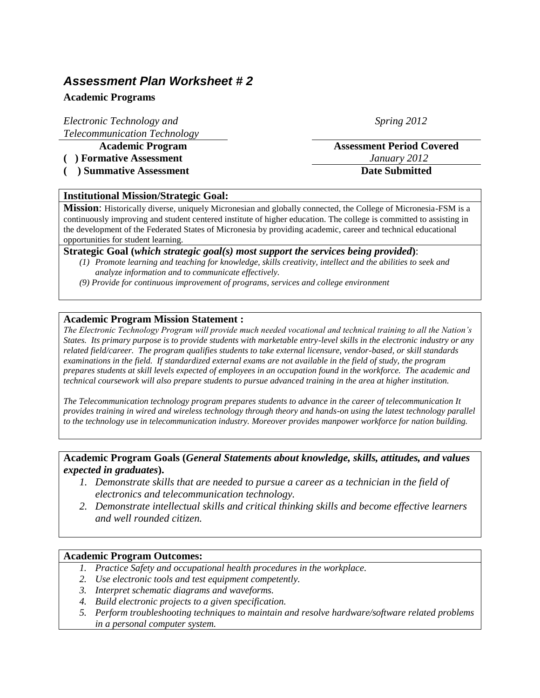# *Assessment Plan Worksheet # 2*

### **Academic Programs**

*Electronic Technology and Telecommunication Technology*

**( ) Formative Assessment** *January 2012*

**( ) Summative Assessment Date Submitted**

**Institutional Mission/Strategic Goal:**

 *Spring 2012*

# **Academic Program Assessment Period Covered**

**Mission**: Historically diverse, uniquely Micronesian and globally connected, the College of Micronesia-FSM is a continuously improving and student centered institute of higher education. The college is committed to assisting in the development of the Federated States of Micronesia by providing academic, career and technical educational opportunities for student learning.

#### **Strategic Goal (***which strategic goal(s) most support the services being provided***)**:

- *(1) Promote learning and teaching for knowledge, skills creativity, intellect and the abilities to seek and analyze information and to communicate effectively.*
- *(9) Provide for continuous improvement of programs, services and college environment*

### **Academic Program Mission Statement :**

*The Electronic Technology Program will provide much needed vocational and technical training to all the Nation's States. Its primary purpose is to provide students with marketable entry-level skills in the electronic industry or any related field/career. The program qualifies students to take external licensure, vendor-based, or skill standards examinations in the field. If standardized external exams are not available in the field of study, the program prepares students at skill levels expected of employees in an occupation found in the workforce. The academic and technical coursework will also prepare students to pursue advanced training in the area at higher institution.*

*The Telecommunication technology program prepares students to advance in the career of telecommunication It provides training in wired and wireless technology through theory and hands-on using the latest technology parallel to the technology use in telecommunication industry. Moreover provides manpower workforce for nation building.* 

### **Academic Program Goals (***General Statements about knowledge, skills, attitudes, and values expected in graduates***).**

- *1. Demonstrate skills that are needed to pursue a career as a technician in the field of electronics and telecommunication technology.*
- *2. Demonstrate intellectual skills and critical thinking skills and become effective learners and well rounded citizen.*

#### **Academic Program Outcomes:**

- *1. Practice Safety and occupational health procedures in the workplace.*
- *2. Use electronic tools and test equipment competently.*
- *3. Interpret schematic diagrams and waveforms.*
- *4. Build electronic projects to a given specification.*
- *5. Perform troubleshooting techniques to maintain and resolve hardware/software related problems in a personal computer system.*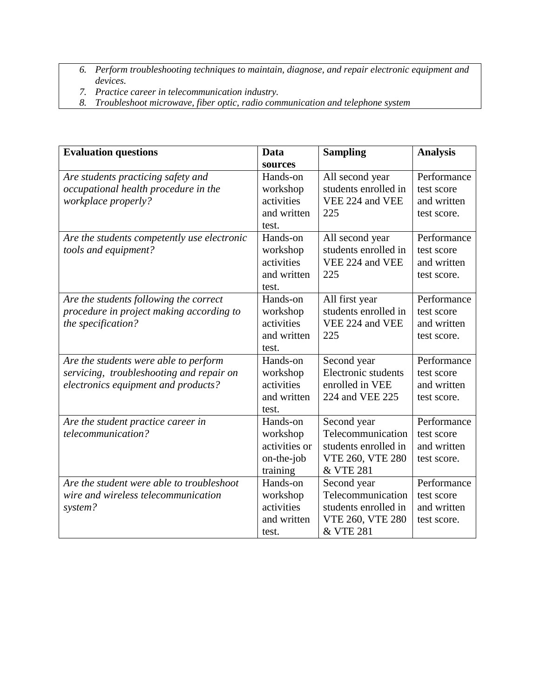- *6. Perform troubleshooting techniques to maintain, diagnose, and repair electronic equipment and devices.*
- *7. Practice career in telecommunication industry.*
- *8. Troubleshoot microwave, fiber optic, radio communication and telephone system*

| <b>Evaluation questions</b>                 | <b>Data</b>   | <b>Sampling</b>      | <b>Analysis</b> |
|---------------------------------------------|---------------|----------------------|-----------------|
|                                             | sources       |                      |                 |
| Are students practicing safety and          | Hands-on      | All second year      | Performance     |
| occupational health procedure in the        | workshop      | students enrolled in | test score      |
| workplace properly?                         | activities    | VEE 224 and VEE      | and written     |
|                                             | and written   | 225                  | test score.     |
|                                             | test.         |                      |                 |
| Are the students competently use electronic | Hands-on      | All second year      | Performance     |
| tools and equipment?                        | workshop      | students enrolled in | test score      |
|                                             | activities    | VEE 224 and VEE      | and written     |
|                                             | and written   | 225                  | test score.     |
|                                             | test.         |                      |                 |
| Are the students following the correct      | Hands-on      | All first year       | Performance     |
| procedure in project making according to    | workshop      | students enrolled in | test score      |
| the specification?                          | activities    | VEE 224 and VEE      | and written     |
|                                             | and written   | 225                  | test score.     |
|                                             | test.         |                      |                 |
| Are the students were able to perform       | Hands-on      | Second year          | Performance     |
| servicing, troubleshooting and repair on    | workshop      | Electronic students  | test score      |
| electronics equipment and products?         | activities    | enrolled in VEE      | and written     |
|                                             | and written   | 224 and VEE 225      | test score.     |
|                                             | test.         |                      |                 |
| Are the student practice career in          | Hands-on      | Second year          | Performance     |
| telecommunication?                          | workshop      | Telecommunication    | test score      |
|                                             | activities or | students enrolled in | and written     |
|                                             | on-the-job    | VTE 260, VTE 280     | test score.     |
|                                             | training      | & VTE 281            |                 |
| Are the student were able to troubleshoot   | Hands-on      | Second year          | Performance     |
| wire and wireless telecommunication         | workshop      | Telecommunication    | test score      |
| system?                                     | activities    | students enrolled in | and written     |
|                                             | and written   | VTE 260, VTE 280     | test score.     |
|                                             | test.         | & VTE 281            |                 |